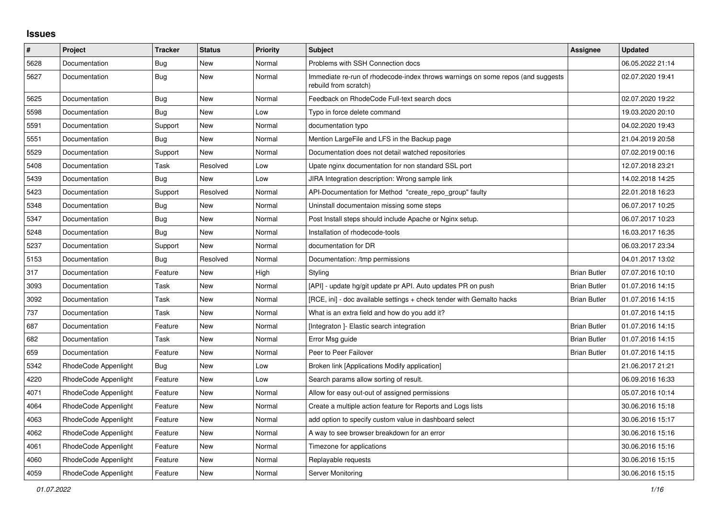## **Issues**

| $\sharp$ | <b>Project</b>       | <b>Tracker</b> | <b>Status</b> | <b>Priority</b> | <b>Subject</b>                                                                                           | Assignee            | <b>Updated</b>   |
|----------|----------------------|----------------|---------------|-----------------|----------------------------------------------------------------------------------------------------------|---------------------|------------------|
| 5628     | Documentation        | Bug            | <b>New</b>    | Normal          | Problems with SSH Connection docs                                                                        |                     | 06.05.2022 21:14 |
| 5627     | Documentation        | Bug            | New           | Normal          | Immediate re-run of rhodecode-index throws warnings on some repos (and suggests<br>rebuild from scratch) |                     | 02.07.2020 19:41 |
| 5625     | Documentation        | <b>Bug</b>     | New           | Normal          | Feedback on RhodeCode Full-text search docs                                                              |                     | 02.07.2020 19:22 |
| 5598     | Documentation        | Bug            | New           | Low             | Typo in force delete command                                                                             |                     | 19.03.2020 20:10 |
| 5591     | Documentation        | Support        | New           | Normal          | documentation typo                                                                                       |                     | 04.02.2020 19:43 |
| 5551     | Documentation        | Bug            | <b>New</b>    | Normal          | Mention LargeFile and LFS in the Backup page                                                             |                     | 21.04.2019 20:58 |
| 5529     | Documentation        | Support        | <b>New</b>    | Normal          | Documentation does not detail watched repositories                                                       |                     | 07.02.2019 00:16 |
| 5408     | Documentation        | Task           | Resolved      | Low             | Upate nginx documentation for non standard SSL port                                                      |                     | 12.07.2018 23:21 |
| 5439     | Documentation        | Bug            | New           | Low             | JIRA Integration description: Wrong sample link                                                          |                     | 14.02.2018 14:25 |
| 5423     | Documentation        | Support        | Resolved      | Normal          | API-Documentation for Method "create_repo_group" faulty                                                  |                     | 22.01.2018 16:23 |
| 5348     | Documentation        | Bug            | New           | Normal          | Uninstall documentaion missing some steps                                                                |                     | 06.07.2017 10:25 |
| 5347     | Documentation        | Bug            | New           | Normal          | Post Install steps should include Apache or Nginx setup.                                                 |                     | 06.07.2017 10:23 |
| 5248     | Documentation        | <b>Bug</b>     | New           | Normal          | Installation of rhodecode-tools                                                                          |                     | 16.03.2017 16:35 |
| 5237     | Documentation        | Support        | New           | Normal          | documentation for DR                                                                                     |                     | 06.03.2017 23:34 |
| 5153     | Documentation        | Bug            | Resolved      | Normal          | Documentation: /tmp permissions                                                                          |                     | 04.01.2017 13:02 |
| 317      | Documentation        | Feature        | <b>New</b>    | High            | Styling                                                                                                  | <b>Brian Butler</b> | 07.07.2016 10:10 |
| 3093     | Documentation        | Task           | New           | Normal          | [API] - update hg/git update pr API. Auto updates PR on push                                             | <b>Brian Butler</b> | 01.07.2016 14:15 |
| 3092     | Documentation        | Task           | New           | Normal          | [RCE, ini] - doc available settings + check tender with Gemalto hacks                                    | <b>Brian Butler</b> | 01.07.2016 14:15 |
| 737      | Documentation        | Task           | New           | Normal          | What is an extra field and how do you add it?                                                            |                     | 01.07.2016 14:15 |
| 687      | Documentation        | Feature        | <b>New</b>    | Normal          | [Integraton] - Elastic search integration                                                                | <b>Brian Butler</b> | 01.07.2016 14:15 |
| 682      | Documentation        | Task           | <b>New</b>    | Normal          | Error Msg guide                                                                                          | <b>Brian Butler</b> | 01.07.2016 14:15 |
| 659      | Documentation        | Feature        | New           | Normal          | Peer to Peer Failover                                                                                    | <b>Brian Butler</b> | 01.07.2016 14:15 |
| 5342     | RhodeCode Appenlight | Bug            | New           | Low             | Broken link [Applications Modify application]                                                            |                     | 21.06.2017 21:21 |
| 4220     | RhodeCode Appenlight | Feature        | New           | Low             | Search params allow sorting of result.                                                                   |                     | 06.09.2016 16:33 |
| 4071     | RhodeCode Appenlight | Feature        | New           | Normal          | Allow for easy out-out of assigned permissions                                                           |                     | 05.07.2016 10:14 |
| 4064     | RhodeCode Appenlight | Feature        | New           | Normal          | Create a multiple action feature for Reports and Logs lists                                              |                     | 30.06.2016 15:18 |
| 4063     | RhodeCode Appenlight | Feature        | New           | Normal          | add option to specify custom value in dashboard select                                                   |                     | 30.06.2016 15:17 |
| 4062     | RhodeCode Appenlight | Feature        | New           | Normal          | A way to see browser breakdown for an error                                                              |                     | 30.06.2016 15:16 |
| 4061     | RhodeCode Appenlight | Feature        | <b>New</b>    | Normal          | Timezone for applications                                                                                |                     | 30.06.2016 15:16 |
| 4060     | RhodeCode Appenlight | Feature        | <b>New</b>    | Normal          | Replayable requests                                                                                      |                     | 30.06.2016 15:15 |
| 4059     | RhodeCode Appenlight | Feature        | New           | Normal          | Server Monitoring                                                                                        |                     | 30.06.2016 15:15 |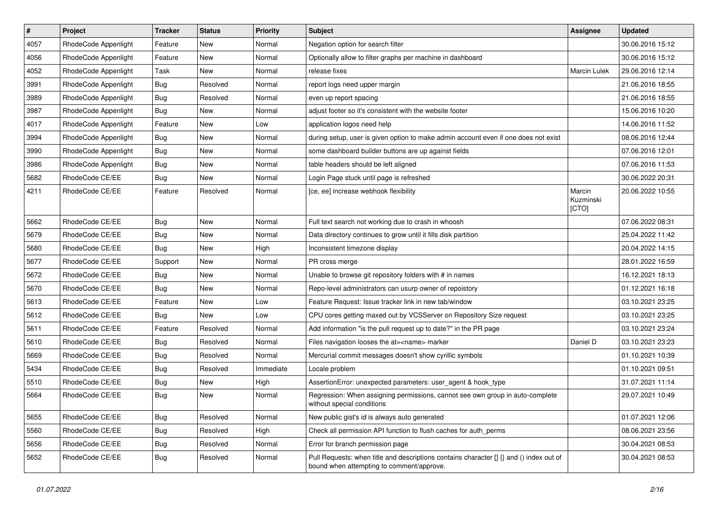| $\vert$ # | Project              | Tracker    | <b>Status</b> | <b>Priority</b> | <b>Subject</b>                                                                                                                       | <b>Assignee</b>              | <b>Updated</b>   |
|-----------|----------------------|------------|---------------|-----------------|--------------------------------------------------------------------------------------------------------------------------------------|------------------------------|------------------|
| 4057      | RhodeCode Appenlight | Feature    | New           | Normal          | Negation option for search filter                                                                                                    |                              | 30.06.2016 15:12 |
| 4056      | RhodeCode Appenlight | Feature    | New           | Normal          | Optionally allow to filter graphs per machine in dashboard                                                                           |                              | 30.06.2016 15:12 |
| 4052      | RhodeCode Appenlight | Task       | New           | Normal          | release fixes                                                                                                                        | Marcin Lulek                 | 29.06.2016 12:14 |
| 3991      | RhodeCode Appenlight | Bug        | Resolved      | Normal          | report logs need upper margin                                                                                                        |                              | 21.06.2016 18:55 |
| 3989      | RhodeCode Appenlight | Bug        | Resolved      | Normal          | even up report spacing                                                                                                               |                              | 21.06.2016 18:55 |
| 3987      | RhodeCode Appenlight | <b>Bug</b> | New           | Normal          | adjust footer so it's consistent with the website footer                                                                             |                              | 15.06.2016 10:20 |
| 4017      | RhodeCode Appenlight | Feature    | New           | Low             | application logos need help                                                                                                          |                              | 14.06.2016 11:52 |
| 3994      | RhodeCode Appenlight | <b>Bug</b> | New           | Normal          | during setup, user is given option to make admin account even if one does not exist                                                  |                              | 08.06.2016 12:44 |
| 3990      | RhodeCode Appenlight | <b>Bug</b> | New           | Normal          | some dashboard builder buttons are up against fields                                                                                 |                              | 07.06.2016 12:01 |
| 3986      | RhodeCode Appenlight | Bug        | New           | Normal          | table headers should be left aligned                                                                                                 |                              | 07.06.2016 11:53 |
| 5682      | RhodeCode CE/EE      | Bug        | New           | Normal          | Login Page stuck until page is refreshed                                                                                             |                              | 30.06.2022 20:31 |
| 4211      | RhodeCode CE/EE      | Feature    | Resolved      | Normal          | [ce, ee] increase webhook flexibility                                                                                                | Marcin<br>Kuzminski<br>[CTO] | 20.06.2022 10:55 |
| 5662      | RhodeCode CE/EE      | Bug        | New           | Normal          | Full text search not working due to crash in whoosh                                                                                  |                              | 07.06.2022 08:31 |
| 5679      | RhodeCode CE/EE      | <b>Bug</b> | New           | Normal          | Data directory continues to grow until it fills disk partition                                                                       |                              | 25.04.2022 11:42 |
| 5680      | RhodeCode CE/EE      | <b>Bug</b> | New           | High            | Inconsistent timezone display                                                                                                        |                              | 20.04.2022 14:15 |
| 5677      | RhodeCode CE/EE      | Support    | New           | Normal          | PR cross merge                                                                                                                       |                              | 28.01.2022 16:59 |
| 5672      | RhodeCode CE/EE      | Bug        | New           | Normal          | Unable to browse git repository folders with # in names                                                                              |                              | 16.12.2021 18:13 |
| 5670      | RhodeCode CE/EE      | Bug        | New           | Normal          | Repo-level administrators can usurp owner of repoistory                                                                              |                              | 01.12.2021 16:18 |
| 5613      | RhodeCode CE/EE      | Feature    | New           | Low             | Feature Request: Issue tracker link in new tab/window                                                                                |                              | 03.10.2021 23:25 |
| 5612      | RhodeCode CE/EE      | Bug        | New           | Low             | CPU cores getting maxed out by VCSServer on Repository Size request                                                                  |                              | 03.10.2021 23:25 |
| 5611      | RhodeCode CE/EE      | Feature    | Resolved      | Normal          | Add information "is the pull request up to date?" in the PR page                                                                     |                              | 03.10.2021 23:24 |
| 5610      | RhodeCode CE/EE      | <b>Bug</b> | Resolved      | Normal          | Files navigation looses the at= <name> marker</name>                                                                                 | Daniel D                     | 03.10.2021 23:23 |
| 5669      | RhodeCode CE/EE      | Bug        | Resolved      | Normal          | Mercurial commit messages doesn't show cyrillic symbols                                                                              |                              | 01.10.2021 10:39 |
| 5434      | RhodeCode CE/EE      | Bug        | Resolved      | Immediate       | Locale problem                                                                                                                       |                              | 01.10.2021 09:51 |
| 5510      | RhodeCode CE/EE      | <b>Bug</b> | New           | High            | AssertionError: unexpected parameters: user_agent & hook_type                                                                        |                              | 31.07.2021 11:14 |
| 5664      | RhodeCode CE/EE      | Bug        | New           | Normal          | Regression: When assigning permissions, cannot see own group in auto-complete<br>without special conditions                          |                              | 29.07.2021 10:49 |
| 5655      | RhodeCode CE/EE      | Bug        | Resolved      | Normal          | New public gist's id is always auto generated                                                                                        |                              | 01.07.2021 12:06 |
| 5560      | RhodeCode CE/EE      | <b>Bug</b> | Resolved      | High            | Check all permission API function to flush caches for auth perms                                                                     |                              | 08.06.2021 23:56 |
| 5656      | RhodeCode CE/EE      | <b>Bug</b> | Resolved      | Normal          | Error for branch permission page                                                                                                     |                              | 30.04.2021 08:53 |
| 5652      | RhodeCode CE/EE      | <b>Bug</b> | Resolved      | Normal          | Pull Requests: when title and descriptions contains character [] {} and () index out of<br>bound when attempting to comment/approve. |                              | 30.04.2021 08:53 |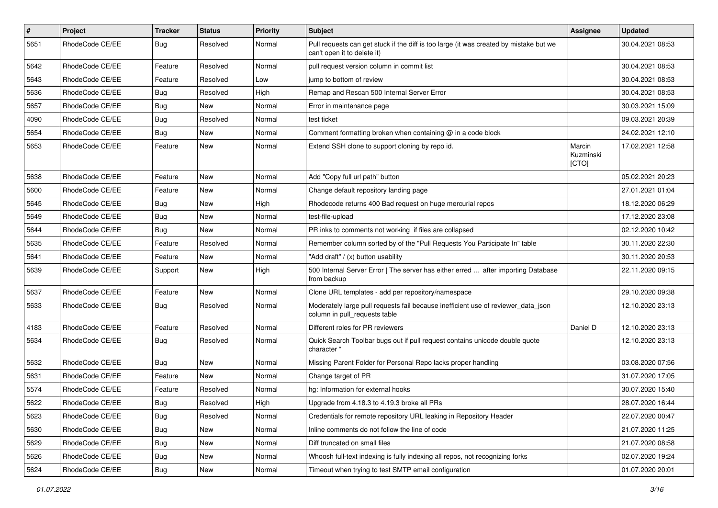| #    | Project         | <b>Tracker</b> | <b>Status</b> | <b>Priority</b> | <b>Subject</b>                                                                                                        | <b>Assignee</b>              | <b>Updated</b>   |
|------|-----------------|----------------|---------------|-----------------|-----------------------------------------------------------------------------------------------------------------------|------------------------------|------------------|
| 5651 | RhodeCode CE/EE | Bug            | Resolved      | Normal          | Pull requests can get stuck if the diff is too large (it was created by mistake but we<br>can't open it to delete it) |                              | 30.04.2021 08:53 |
| 5642 | RhodeCode CE/EE | Feature        | Resolved      | Normal          | pull request version column in commit list                                                                            |                              | 30.04.2021 08:53 |
| 5643 | RhodeCode CE/EE | Feature        | Resolved      | Low             | jump to bottom of review                                                                                              |                              | 30.04.2021 08:53 |
| 5636 | RhodeCode CE/EE | Bug            | Resolved      | High            | Remap and Rescan 500 Internal Server Error                                                                            |                              | 30.04.2021 08:53 |
| 5657 | RhodeCode CE/EE | Bug            | New           | Normal          | Error in maintenance page                                                                                             |                              | 30.03.2021 15:09 |
| 4090 | RhodeCode CE/EE | Bug            | Resolved      | Normal          | test ticket                                                                                                           |                              | 09.03.2021 20:39 |
| 5654 | RhodeCode CE/EE | <b>Bug</b>     | New           | Normal          | Comment formatting broken when containing $\omega$ in a code block                                                    |                              | 24.02.2021 12:10 |
| 5653 | RhodeCode CE/EE | Feature        | New           | Normal          | Extend SSH clone to support cloning by repo id.                                                                       | Marcin<br>Kuzminski<br>[CTO] | 17.02.2021 12:58 |
| 5638 | RhodeCode CE/EE | Feature        | <b>New</b>    | Normal          | Add "Copy full url path" button                                                                                       |                              | 05.02.2021 20:23 |
| 5600 | RhodeCode CE/EE | Feature        | <b>New</b>    | Normal          | Change default repository landing page                                                                                |                              | 27.01.2021 01:04 |
| 5645 | RhodeCode CE/EE | Bug            | New           | High            | Rhodecode returns 400 Bad request on huge mercurial repos                                                             |                              | 18.12.2020 06:29 |
| 5649 | RhodeCode CE/EE | Bug            | New           | Normal          | test-file-upload                                                                                                      |                              | 17.12.2020 23:08 |
| 5644 | RhodeCode CE/EE | Bug            | New           | Normal          | PR inks to comments not working if files are collapsed                                                                |                              | 02.12.2020 10:42 |
| 5635 | RhodeCode CE/EE | Feature        | Resolved      | Normal          | Remember column sorted by of the "Pull Requests You Participate In" table                                             |                              | 30.11.2020 22:30 |
| 5641 | RhodeCode CE/EE | Feature        | <b>New</b>    | Normal          | "Add draft" / (x) button usability                                                                                    |                              | 30.11.2020 20:53 |
| 5639 | RhodeCode CE/EE | Support        | New           | High            | 500 Internal Server Error   The server has either erred  after importing Database<br>from backup                      |                              | 22.11.2020 09:15 |
| 5637 | RhodeCode CE/EE | Feature        | <b>New</b>    | Normal          | Clone URL templates - add per repository/namespace                                                                    |                              | 29.10.2020 09:38 |
| 5633 | RhodeCode CE/EE | Bug            | Resolved      | Normal          | Moderately large pull requests fail because inefficient use of reviewer_data_json<br>column in pull_requests table    |                              | 12.10.2020 23:13 |
| 4183 | RhodeCode CE/EE | Feature        | Resolved      | Normal          | Different roles for PR reviewers                                                                                      | Daniel D                     | 12.10.2020 23:13 |
| 5634 | RhodeCode CE/EE | Bug            | Resolved      | Normal          | Quick Search Toolbar bugs out if pull request contains unicode double quote<br>character "                            |                              | 12.10.2020 23:13 |
| 5632 | RhodeCode CE/EE | <b>Bug</b>     | New           | Normal          | Missing Parent Folder for Personal Repo lacks proper handling                                                         |                              | 03.08.2020 07:56 |
| 5631 | RhodeCode CE/EE | Feature        | New           | Normal          | Change target of PR                                                                                                   |                              | 31.07.2020 17:05 |
| 5574 | RhodeCode CE/EE | Feature        | Resolved      | Normal          | hg: Information for external hooks                                                                                    |                              | 30.07.2020 15:40 |
| 5622 | RhodeCode CE/EE | Bug            | Resolved      | High            | Upgrade from 4.18.3 to 4.19.3 broke all PRs                                                                           |                              | 28.07.2020 16:44 |
| 5623 | RhodeCode CE/EE | Bug            | Resolved      | Normal          | Credentials for remote repository URL leaking in Repository Header                                                    |                              | 22.07.2020 00:47 |
| 5630 | RhodeCode CE/EE | <b>Bug</b>     | New           | Normal          | Inline comments do not follow the line of code                                                                        |                              | 21.07.2020 11:25 |
| 5629 | RhodeCode CE/EE | <b>Bug</b>     | New           | Normal          | Diff truncated on small files                                                                                         |                              | 21.07.2020 08:58 |
| 5626 | RhodeCode CE/EE | Bug            | New           | Normal          | Whoosh full-text indexing is fully indexing all repos, not recognizing forks                                          |                              | 02.07.2020 19:24 |
| 5624 | RhodeCode CE/EE | Bug            | New           | Normal          | Timeout when trying to test SMTP email configuration                                                                  |                              | 01.07.2020 20:01 |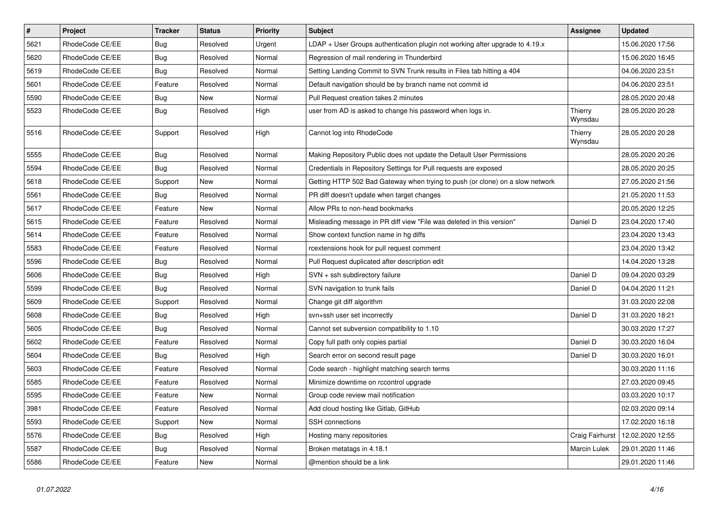| $\pmb{\#}$ | Project         | <b>Tracker</b> | <b>Status</b> | <b>Priority</b> | <b>Subject</b>                                                                | <b>Assignee</b>     | <b>Updated</b>   |
|------------|-----------------|----------------|---------------|-----------------|-------------------------------------------------------------------------------|---------------------|------------------|
| 5621       | RhodeCode CE/EE | <b>Bug</b>     | Resolved      | Urgent          | LDAP + User Groups authentication plugin not working after upgrade to 4.19.x  |                     | 15.06.2020 17:56 |
| 5620       | RhodeCode CE/EE | <b>Bug</b>     | Resolved      | Normal          | Regression of mail rendering in Thunderbird                                   |                     | 15.06.2020 16:45 |
| 5619       | RhodeCode CE/EE | Bug            | Resolved      | Normal          | Setting Landing Commit to SVN Trunk results in Files tab hitting a 404        |                     | 04.06.2020 23:51 |
| 5601       | RhodeCode CE/EE | Feature        | Resolved      | Normal          | Default navigation should be by branch name not commit id                     |                     | 04.06.2020 23:51 |
| 5590       | RhodeCode CE/EE | Bug            | New           | Normal          | Pull Request creation takes 2 minutes                                         |                     | 28.05.2020 20:48 |
| 5523       | RhodeCode CE/EE | <b>Bug</b>     | Resolved      | High            | user from AD is asked to change his password when logs in.                    | Thierry<br>Wynsdau  | 28.05.2020 20:28 |
| 5516       | RhodeCode CE/EE | Support        | Resolved      | High            | Cannot log into RhodeCode                                                     | Thierry<br>Wynsdau  | 28.05.2020 20:28 |
| 5555       | RhodeCode CE/EE | Bug            | Resolved      | Normal          | Making Repository Public does not update the Default User Permissions         |                     | 28.05.2020 20:26 |
| 5594       | RhodeCode CE/EE | <b>Bug</b>     | Resolved      | Normal          | Credentials in Repository Settings for Pull requests are exposed              |                     | 28.05.2020 20:25 |
| 5618       | RhodeCode CE/EE | Support        | <b>New</b>    | Normal          | Getting HTTP 502 Bad Gateway when trying to push (or clone) on a slow network |                     | 27.05.2020 21:56 |
| 5561       | RhodeCode CE/EE | Bug            | Resolved      | Normal          | PR diff doesn't update when target changes                                    |                     | 21.05.2020 11:53 |
| 5617       | RhodeCode CE/EE | Feature        | New           | Normal          | Allow PRs to non-head bookmarks                                               |                     | 20.05.2020 12:25 |
| 5615       | RhodeCode CE/EE | Feature        | Resolved      | Normal          | Misleading message in PR diff view "File was deleted in this version"         | Daniel D            | 23.04.2020 17:40 |
| 5614       | RhodeCode CE/EE | Feature        | Resolved      | Normal          | Show context function name in hg diffs                                        |                     | 23.04.2020 13:43 |
| 5583       | RhodeCode CE/EE | Feature        | Resolved      | Normal          | rcextensions hook for pull request comment                                    |                     | 23.04.2020 13:42 |
| 5596       | RhodeCode CE/EE | Bug            | Resolved      | Normal          | Pull Request duplicated after description edit                                |                     | 14.04.2020 13:28 |
| 5606       | RhodeCode CE/EE | <b>Bug</b>     | Resolved      | High            | SVN + ssh subdirectory failure                                                | Daniel D            | 09.04.2020 03:29 |
| 5599       | RhodeCode CE/EE | Bug            | Resolved      | Normal          | SVN navigation to trunk fails                                                 | Daniel D            | 04.04.2020 11:21 |
| 5609       | RhodeCode CE/EE | Support        | Resolved      | Normal          | Change git diff algorithm                                                     |                     | 31.03.2020 22:08 |
| 5608       | RhodeCode CE/EE | Bug            | Resolved      | High            | svn+ssh user set incorrectly                                                  | Daniel D            | 31.03.2020 18:21 |
| 5605       | RhodeCode CE/EE | Bug            | Resolved      | Normal          | Cannot set subversion compatibility to 1.10                                   |                     | 30.03.2020 17:27 |
| 5602       | RhodeCode CE/EE | Feature        | Resolved      | Normal          | Copy full path only copies partial                                            | Daniel D            | 30.03.2020 16:04 |
| 5604       | RhodeCode CE/EE | Bug            | Resolved      | High            | Search error on second result page                                            | Daniel D            | 30.03.2020 16:01 |
| 5603       | RhodeCode CE/EE | Feature        | Resolved      | Normal          | Code search - highlight matching search terms                                 |                     | 30.03.2020 11:16 |
| 5585       | RhodeCode CE/EE | Feature        | Resolved      | Normal          | Minimize downtime on rccontrol upgrade                                        |                     | 27.03.2020 09:45 |
| 5595       | RhodeCode CE/EE | Feature        | New           | Normal          | Group code review mail notification                                           |                     | 03.03.2020 10:17 |
| 3981       | RhodeCode CE/EE | Feature        | Resolved      | Normal          | Add cloud hosting like Gitlab, GitHub                                         |                     | 02.03.2020 09:14 |
| 5593       | RhodeCode CE/EE | Support        | New           | Normal          | <b>SSH</b> connections                                                        |                     | 17.02.2020 16:18 |
| 5576       | RhodeCode CE/EE | <b>Bug</b>     | Resolved      | High            | Hosting many repositories                                                     | Craig Fairhurst     | 12.02.2020 12:55 |
| 5587       | RhodeCode CE/EE | Bug            | Resolved      | Normal          | Broken metatags in 4.18.1                                                     | <b>Marcin Lulek</b> | 29.01.2020 11:46 |
| 5586       | RhodeCode CE/EE | Feature        | New           | Normal          | @mention should be a link                                                     |                     | 29.01.2020 11:46 |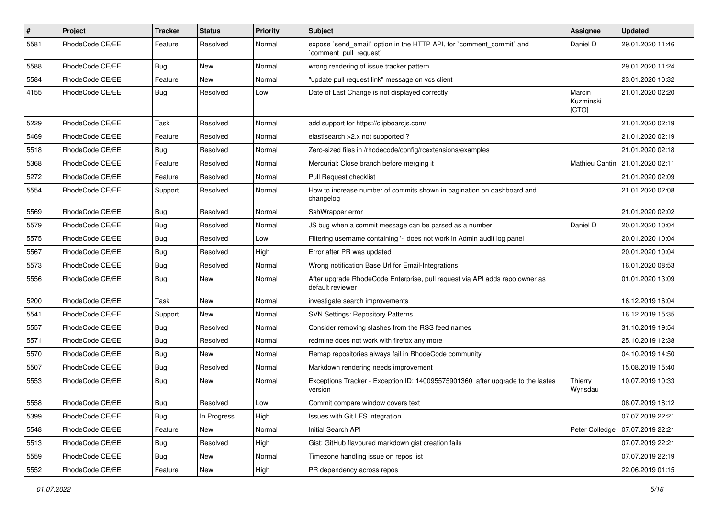| $\sharp$ | <b>Project</b>  | Tracker    | <b>Status</b> | <b>Priority</b> | Subject                                                                                         | Assignee                     | <b>Updated</b>                    |
|----------|-----------------|------------|---------------|-----------------|-------------------------------------------------------------------------------------------------|------------------------------|-----------------------------------|
| 5581     | RhodeCode CE/EE | Feature    | Resolved      | Normal          | expose `send_email` option in the HTTP API, for `comment_commit` and<br>`comment_pull_request`  | Daniel D                     | 29.01.2020 11:46                  |
| 5588     | RhodeCode CE/EE | Bug        | New           | Normal          | wrong rendering of issue tracker pattern                                                        |                              | 29.01.2020 11:24                  |
| 5584     | RhodeCode CE/EE | Feature    | New           | Normal          | "update pull request link" message on vcs client                                                |                              | 23.01.2020 10:32                  |
| 4155     | RhodeCode CE/EE | <b>Bug</b> | Resolved      | Low             | Date of Last Change is not displayed correctly                                                  | Marcin<br>Kuzminski<br>[CTO] | 21.01.2020 02:20                  |
| 5229     | RhodeCode CE/EE | Task       | Resolved      | Normal          | add support for https://clipboardjs.com/                                                        |                              | 21.01.2020 02:19                  |
| 5469     | RhodeCode CE/EE | Feature    | Resolved      | Normal          | elastisearch > 2.x not supported?                                                               |                              | 21.01.2020 02:19                  |
| 5518     | RhodeCode CE/EE | Bug        | Resolved      | Normal          | Zero-sized files in /rhodecode/config/rcextensions/examples                                     |                              | 21.01.2020 02:18                  |
| 5368     | RhodeCode CE/EE | Feature    | Resolved      | Normal          | Mercurial: Close branch before merging it                                                       |                              | Mathieu Cantin   21.01.2020 02:11 |
| 5272     | RhodeCode CE/EE | Feature    | Resolved      | Normal          | Pull Request checklist                                                                          |                              | 21.01.2020 02:09                  |
| 5554     | RhodeCode CE/EE | Support    | Resolved      | Normal          | How to increase number of commits shown in pagination on dashboard and<br>changelog             |                              | 21.01.2020 02:08                  |
| 5569     | RhodeCode CE/EE | Bug        | Resolved      | Normal          | SshWrapper error                                                                                |                              | 21.01.2020 02:02                  |
| 5579     | RhodeCode CE/EE | <b>Bug</b> | Resolved      | Normal          | JS bug when a commit message can be parsed as a number                                          | Daniel D                     | 20.01.2020 10:04                  |
| 5575     | RhodeCode CE/EE | <b>Bug</b> | Resolved      | Low             | Filtering username containing '-' does not work in Admin audit log panel                        |                              | 20.01.2020 10:04                  |
| 5567     | RhodeCode CE/EE | Bug        | Resolved      | High            | Error after PR was updated                                                                      |                              | 20.01.2020 10:04                  |
| 5573     | RhodeCode CE/EE | Bug        | Resolved      | Normal          | Wrong notification Base Url for Email-Integrations                                              |                              | 16.01.2020 08:53                  |
| 5556     | RhodeCode CE/EE | <b>Bug</b> | New           | Normal          | After upgrade RhodeCode Enterprise, pull request via API adds repo owner as<br>default reviewer |                              | 01.01.2020 13:09                  |
| 5200     | RhodeCode CE/EE | Task       | New           | Normal          | investigate search improvements                                                                 |                              | 16.12.2019 16:04                  |
| 5541     | RhodeCode CE/EE | Support    | <b>New</b>    | Normal          | <b>SVN Settings: Repository Patterns</b>                                                        |                              | 16.12.2019 15:35                  |
| 5557     | RhodeCode CE/EE | Bug        | Resolved      | Normal          | Consider removing slashes from the RSS feed names                                               |                              | 31.10.2019 19:54                  |
| 5571     | RhodeCode CE/EE | <b>Bug</b> | Resolved      | Normal          | redmine does not work with firefox any more                                                     |                              | 25.10.2019 12:38                  |
| 5570     | RhodeCode CE/EE | Bug        | <b>New</b>    | Normal          | Remap repositories always fail in RhodeCode community                                           |                              | 04.10.2019 14:50                  |
| 5507     | RhodeCode CE/EE | <b>Bug</b> | Resolved      | Normal          | Markdown rendering needs improvement                                                            |                              | 15.08.2019 15:40                  |
| 5553     | RhodeCode CE/EE | <b>Bug</b> | New           | Normal          | Exceptions Tracker - Exception ID: 140095575901360 after upgrade to the lastes<br>version       | Thierry<br>Wynsdau           | 10.07.2019 10:33                  |
| 5558     | RhodeCode CE/EE | Bug        | Resolved      | Low             | Commit compare window covers text                                                               |                              | 08.07.2019 18:12                  |
| 5399     | RhodeCode CE/EE | <b>Bug</b> | In Progress   | High            | Issues with Git LFS integration                                                                 |                              | 07.07.2019 22:21                  |
| 5548     | RhodeCode CE/EE | Feature    | New           | Normal          | Initial Search API                                                                              | Peter Colledge               | 07.07.2019 22:21                  |
| 5513     | RhodeCode CE/EE | <b>Bug</b> | Resolved      | High            | Gist: GitHub flavoured markdown gist creation fails                                             |                              | 07.07.2019 22:21                  |
| 5559     | RhodeCode CE/EE | Bug        | New           | Normal          | Timezone handling issue on repos list                                                           |                              | 07.07.2019 22:19                  |
| 5552     | RhodeCode CE/EE | Feature    | New           | High            | PR dependency across repos                                                                      |                              | 22.06.2019 01:15                  |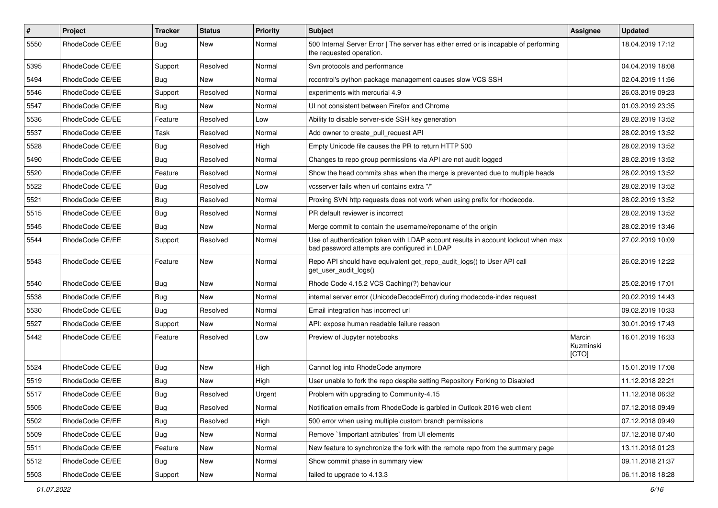| $\pmb{\#}$ | Project         | <b>Tracker</b> | <b>Status</b> | <b>Priority</b> | <b>Subject</b>                                                                                                                    | <b>Assignee</b>              | <b>Updated</b>   |
|------------|-----------------|----------------|---------------|-----------------|-----------------------------------------------------------------------------------------------------------------------------------|------------------------------|------------------|
| 5550       | RhodeCode CE/EE | <b>Bug</b>     | New           | Normal          | 500 Internal Server Error   The server has either erred or is incapable of performing<br>the requested operation.                 |                              | 18.04.2019 17:12 |
| 5395       | RhodeCode CE/EE | Support        | Resolved      | Normal          | Svn protocols and performance                                                                                                     |                              | 04.04.2019 18:08 |
| 5494       | RhodeCode CE/EE | <b>Bug</b>     | New           | Normal          | rccontrol's python package management causes slow VCS SSH                                                                         |                              | 02.04.2019 11:56 |
| 5546       | RhodeCode CE/EE | Support        | Resolved      | Normal          | experiments with mercurial 4.9                                                                                                    |                              | 26.03.2019 09:23 |
| 5547       | RhodeCode CE/EE | <b>Bug</b>     | <b>New</b>    | Normal          | UI not consistent between Firefox and Chrome                                                                                      |                              | 01.03.2019 23:35 |
| 5536       | RhodeCode CE/EE | Feature        | Resolved      | Low             | Ability to disable server-side SSH key generation                                                                                 |                              | 28.02.2019 13:52 |
| 5537       | RhodeCode CE/EE | Task           | Resolved      | Normal          | Add owner to create pull request API                                                                                              |                              | 28.02.2019 13:52 |
| 5528       | RhodeCode CE/EE | Bug            | Resolved      | High            | Empty Unicode file causes the PR to return HTTP 500                                                                               |                              | 28.02.2019 13:52 |
| 5490       | RhodeCode CE/EE | Bug            | Resolved      | Normal          | Changes to repo group permissions via API are not audit logged                                                                    |                              | 28.02.2019 13:52 |
| 5520       | RhodeCode CE/EE | Feature        | Resolved      | Normal          | Show the head commits shas when the merge is prevented due to multiple heads                                                      |                              | 28.02.2019 13:52 |
| 5522       | RhodeCode CE/EE | <b>Bug</b>     | Resolved      | Low             | vcsserver fails when url contains extra "/"                                                                                       |                              | 28.02.2019 13:52 |
| 5521       | RhodeCode CE/EE | Bug            | Resolved      | Normal          | Proxing SVN http requests does not work when using prefix for rhodecode.                                                          |                              | 28.02.2019 13:52 |
| 5515       | RhodeCode CE/EE | Bug            | Resolved      | Normal          | PR default reviewer is incorrect                                                                                                  |                              | 28.02.2019 13:52 |
| 5545       | RhodeCode CE/EE | Bug            | New           | Normal          | Merge commit to contain the username/reponame of the origin                                                                       |                              | 28.02.2019 13:46 |
| 5544       | RhodeCode CE/EE | Support        | Resolved      | Normal          | Use of authentication token with LDAP account results in account lockout when max<br>bad password attempts are configured in LDAP |                              | 27.02.2019 10:09 |
| 5543       | RhodeCode CE/EE | Feature        | <b>New</b>    | Normal          | Repo API should have equivalent get_repo_audit_logs() to User API call<br>get user audit logs()                                   |                              | 26.02.2019 12:22 |
| 5540       | RhodeCode CE/EE | Bug            | <b>New</b>    | Normal          | Rhode Code 4.15.2 VCS Caching(?) behaviour                                                                                        |                              | 25.02.2019 17:01 |
| 5538       | RhodeCode CE/EE | Bug            | New           | Normal          | internal server error (UnicodeDecodeError) during rhodecode-index request                                                         |                              | 20.02.2019 14:43 |
| 5530       | RhodeCode CE/EE | Bug            | Resolved      | Normal          | Email integration has incorrect url                                                                                               |                              | 09.02.2019 10:33 |
| 5527       | RhodeCode CE/EE | Support        | New           | Normal          | API: expose human readable failure reason                                                                                         |                              | 30.01.2019 17:43 |
| 5442       | RhodeCode CE/EE | Feature        | Resolved      | Low             | Preview of Jupyter notebooks                                                                                                      | Marcin<br>Kuzminski<br>[CTO] | 16.01.2019 16:33 |
| 5524       | RhodeCode CE/EE | Bug            | New           | High            | Cannot log into RhodeCode anymore                                                                                                 |                              | 15.01.2019 17:08 |
| 5519       | RhodeCode CE/EE | <b>Bug</b>     | New           | High            | User unable to fork the repo despite setting Repository Forking to Disabled                                                       |                              | 11.12.2018 22:21 |
| 5517       | RhodeCode CE/EE | Bug            | Resolved      | Urgent          | Problem with upgrading to Community-4.15                                                                                          |                              | 11.12.2018 06:32 |
| 5505       | RhodeCode CE/EE | Bug            | Resolved      | Normal          | Notification emails from RhodeCode is garbled in Outlook 2016 web client                                                          |                              | 07.12.2018 09:49 |
| 5502       | RhodeCode CE/EE | <b>Bug</b>     | Resolved      | High            | 500 error when using multiple custom branch permissions                                                                           |                              | 07.12.2018 09:49 |
| 5509       | RhodeCode CE/EE | Bug            | New           | Normal          | Remove `!important attributes` from UI elements                                                                                   |                              | 07.12.2018 07:40 |
| 5511       | RhodeCode CE/EE | Feature        | New           | Normal          | New feature to synchronize the fork with the remote repo from the summary page                                                    |                              | 13.11.2018 01:23 |
| 5512       | RhodeCode CE/EE | <b>Bug</b>     | New           | Normal          | Show commit phase in summary view                                                                                                 |                              | 09.11.2018 21:37 |
| 5503       | RhodeCode CE/EE | Support        | New           | Normal          | failed to upgrade to 4.13.3                                                                                                       |                              | 06.11.2018 18:28 |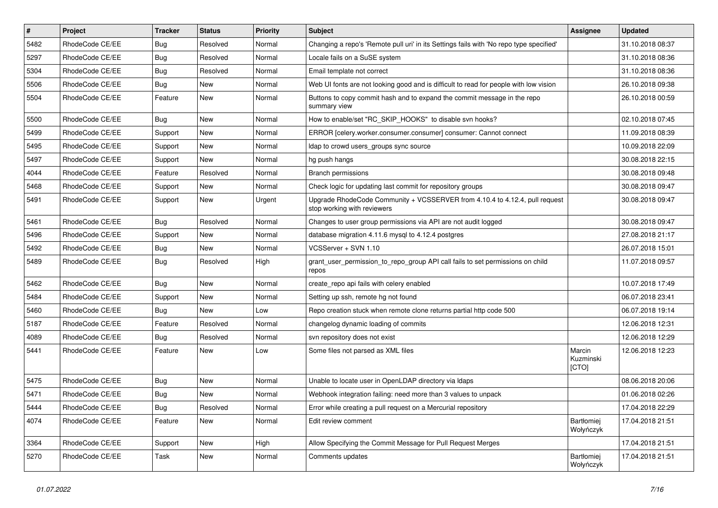| $\sharp$ | Project         | <b>Tracker</b> | <b>Status</b> | Priority | <b>Subject</b>                                                                                             | <b>Assignee</b>              | <b>Updated</b>   |
|----------|-----------------|----------------|---------------|----------|------------------------------------------------------------------------------------------------------------|------------------------------|------------------|
| 5482     | RhodeCode CE/EE | Bug            | Resolved      | Normal   | Changing a repo's 'Remote pull uri' in its Settings fails with 'No repo type specified'                    |                              | 31.10.2018 08:37 |
| 5297     | RhodeCode CE/EE | Bug            | Resolved      | Normal   | Locale fails on a SuSE system                                                                              |                              | 31.10.2018 08:36 |
| 5304     | RhodeCode CE/EE | Bug            | Resolved      | Normal   | Email template not correct                                                                                 |                              | 31.10.2018 08:36 |
| 5506     | RhodeCode CE/EE | Bug            | New           | Normal   | Web UI fonts are not looking good and is difficult to read for people with low vision                      |                              | 26.10.2018 09:38 |
| 5504     | RhodeCode CE/EE | Feature        | <b>New</b>    | Normal   | Buttons to copy commit hash and to expand the commit message in the repo<br>summary view                   |                              | 26.10.2018 00:59 |
| 5500     | RhodeCode CE/EE | Bug            | <b>New</b>    | Normal   | How to enable/set "RC_SKIP_HOOKS" to disable svn hooks?                                                    |                              | 02.10.2018 07:45 |
| 5499     | RhodeCode CE/EE | Support        | <b>New</b>    | Normal   | ERROR [celery.worker.consumer.consumer] consumer: Cannot connect                                           |                              | 11.09.2018 08:39 |
| 5495     | RhodeCode CE/EE | Support        | New           | Normal   | Idap to crowd users_groups sync source                                                                     |                              | 10.09.2018 22:09 |
| 5497     | RhodeCode CE/EE | Support        | <b>New</b>    | Normal   | hg push hangs                                                                                              |                              | 30.08.2018 22:15 |
| 4044     | RhodeCode CE/EE | Feature        | Resolved      | Normal   | Branch permissions                                                                                         |                              | 30.08.2018 09:48 |
| 5468     | RhodeCode CE/EE | Support        | New           | Normal   | Check logic for updating last commit for repository groups                                                 |                              | 30.08.2018 09:47 |
| 5491     | RhodeCode CE/EE | Support        | <b>New</b>    | Urgent   | Upgrade RhodeCode Community + VCSSERVER from 4.10.4 to 4.12.4, pull request<br>stop working with reviewers |                              | 30.08.2018 09:47 |
| 5461     | RhodeCode CE/EE | Bug            | Resolved      | Normal   | Changes to user group permissions via API are not audit logged                                             |                              | 30.08.2018 09:47 |
| 5496     | RhodeCode CE/EE | Support        | New           | Normal   | database migration 4.11.6 mysql to 4.12.4 postgres                                                         |                              | 27.08.2018 21:17 |
| 5492     | RhodeCode CE/EE | Bug            | New           | Normal   | VCSServer + SVN 1.10                                                                                       |                              | 26.07.2018 15:01 |
| 5489     | RhodeCode CE/EE | Bug            | Resolved      | High     | grant_user_permission_to_repo_group API call fails to set permissions on child<br>repos                    |                              | 11.07.2018 09:57 |
| 5462     | RhodeCode CE/EE | Bug            | <b>New</b>    | Normal   | create_repo api fails with celery enabled                                                                  |                              | 10.07.2018 17:49 |
| 5484     | RhodeCode CE/EE | Support        | <b>New</b>    | Normal   | Setting up ssh, remote hg not found                                                                        |                              | 06.07.2018 23:41 |
| 5460     | RhodeCode CE/EE | Bug            | New           | Low      | Repo creation stuck when remote clone returns partial http code 500                                        |                              | 06.07.2018 19:14 |
| 5187     | RhodeCode CE/EE | Feature        | Resolved      | Normal   | changelog dynamic loading of commits                                                                       |                              | 12.06.2018 12:31 |
| 4089     | RhodeCode CE/EE | Bug            | Resolved      | Normal   | svn repository does not exist                                                                              |                              | 12.06.2018 12:29 |
| 5441     | RhodeCode CE/EE | Feature        | New           | Low      | Some files not parsed as XML files                                                                         | Marcin<br>Kuzminski<br>[CTO] | 12.06.2018 12:23 |
| 5475     | RhodeCode CE/EE | <b>Bug</b>     | New           | Normal   | Unable to locate user in OpenLDAP directory via Idaps                                                      |                              | 08.06.2018 20:06 |
| 5471     | RhodeCode CE/EE | Bug            | <b>New</b>    | Normal   | Webhook integration failing: need more than 3 values to unpack                                             |                              | 01.06.2018 02:26 |
| 5444     | RhodeCode CE/EE | Bug            | Resolved      | Normal   | Error while creating a pull request on a Mercurial repository                                              |                              | 17.04.2018 22:29 |
| 4074     | RhodeCode CE/EE | Feature        | New           | Normal   | Edit review comment                                                                                        | Bartłomiej<br>Wołyńczyk      | 17.04.2018 21:51 |
| 3364     | RhodeCode CE/EE | Support        | New           | High     | Allow Specifying the Commit Message for Pull Request Merges                                                |                              | 17.04.2018 21:51 |
| 5270     | RhodeCode CE/EE | Task           | New           | Normal   | Comments updates                                                                                           | Bartłomiej<br>Wołyńczyk      | 17.04.2018 21:51 |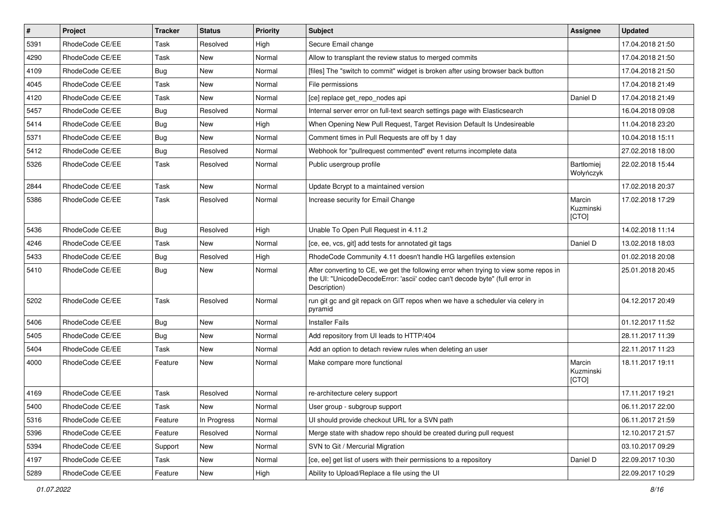| $\vert$ # | Project         | <b>Tracker</b> | <b>Status</b> | Priority | <b>Subject</b>                                                                                                                                                                       | <b>Assignee</b>              | <b>Updated</b>   |
|-----------|-----------------|----------------|---------------|----------|--------------------------------------------------------------------------------------------------------------------------------------------------------------------------------------|------------------------------|------------------|
| 5391      | RhodeCode CE/EE | Task           | Resolved      | High     | Secure Email change                                                                                                                                                                  |                              | 17.04.2018 21:50 |
| 4290      | RhodeCode CE/EE | Task           | <b>New</b>    | Normal   | Allow to transplant the review status to merged commits                                                                                                                              |                              | 17.04.2018 21:50 |
| 4109      | RhodeCode CE/EE | Bug            | New           | Normal   | [files] The "switch to commit" widget is broken after using browser back button                                                                                                      |                              | 17.04.2018 21:50 |
| 4045      | RhodeCode CE/EE | Task           | New           | Normal   | File permissions                                                                                                                                                                     |                              | 17.04.2018 21:49 |
| 4120      | RhodeCode CE/EE | Task           | <b>New</b>    | Normal   | [ce] replace get_repo_nodes api                                                                                                                                                      | Daniel D                     | 17.04.2018 21:49 |
| 5457      | RhodeCode CE/EE | Bug            | Resolved      | Normal   | Internal server error on full-text search settings page with Elasticsearch                                                                                                           |                              | 16.04.2018 09:08 |
| 5414      | RhodeCode CE/EE | Bug            | New           | High     | When Opening New Pull Request, Target Revision Default Is Undesireable                                                                                                               |                              | 11.04.2018 23:20 |
| 5371      | RhodeCode CE/EE | Bug            | <b>New</b>    | Normal   | Comment times in Pull Requests are off by 1 day                                                                                                                                      |                              | 10.04.2018 15:11 |
| 5412      | RhodeCode CE/EE | Bug            | Resolved      | Normal   | Webhook for "pullrequest commented" event returns incomplete data                                                                                                                    |                              | 27.02.2018 18:00 |
| 5326      | RhodeCode CE/EE | Task           | Resolved      | Normal   | Public usergroup profile                                                                                                                                                             | Bartłomiej<br>Wołyńczyk      | 22.02.2018 15:44 |
| 2844      | RhodeCode CE/EE | Task           | <b>New</b>    | Normal   | Update Bcrypt to a maintained version                                                                                                                                                |                              | 17.02.2018 20:37 |
| 5386      | RhodeCode CE/EE | Task           | Resolved      | Normal   | Increase security for Email Change                                                                                                                                                   | Marcin<br>Kuzminski<br>[CTO] | 17.02.2018 17:29 |
| 5436      | RhodeCode CE/EE | Bug            | Resolved      | High     | Unable To Open Pull Request in 4.11.2                                                                                                                                                |                              | 14.02.2018 11:14 |
| 4246      | RhodeCode CE/EE | Task           | New           | Normal   | [ce, ee, vcs, git] add tests for annotated git tags                                                                                                                                  | Daniel D                     | 13.02.2018 18:03 |
| 5433      | RhodeCode CE/EE | Bug            | Resolved      | High     | RhodeCode Community 4.11 doesn't handle HG largefiles extension                                                                                                                      |                              | 01.02.2018 20:08 |
| 5410      | RhodeCode CE/EE | Bug            | New           | Normal   | After converting to CE, we get the following error when trying to view some repos in<br>the UI: "UnicodeDecodeError: 'ascii' codec can't decode byte" (full error in<br>Description) |                              | 25.01.2018 20:45 |
| 5202      | RhodeCode CE/EE | Task           | Resolved      | Normal   | run git gc and git repack on GIT repos when we have a scheduler via celery in<br>pyramid                                                                                             |                              | 04.12.2017 20:49 |
| 5406      | RhodeCode CE/EE | Bug            | <b>New</b>    | Normal   | <b>Installer Fails</b>                                                                                                                                                               |                              | 01.12.2017 11:52 |
| 5405      | RhodeCode CE/EE | Bug            | New           | Normal   | Add repository from UI leads to HTTP/404                                                                                                                                             |                              | 28.11.2017 11:39 |
| 5404      | RhodeCode CE/EE | Task           | <b>New</b>    | Normal   | Add an option to detach review rules when deleting an user                                                                                                                           |                              | 22.11.2017 11:23 |
| 4000      | RhodeCode CE/EE | Feature        | New           | Normal   | Make compare more functional                                                                                                                                                         | Marcin<br>Kuzminski<br>[CTO] | 18.11.2017 19:11 |
| 4169      | RhodeCode CE/EE | Task           | Resolved      | Normal   | re-architecture celery support                                                                                                                                                       |                              | 17.11.2017 19:21 |
| 5400      | RhodeCode CE/EE | Task           | New           | Normal   | User group - subgroup support                                                                                                                                                        |                              | 06.11.2017 22:00 |
| 5316      | RhodeCode CE/EE | Feature        | In Progress   | Normal   | UI should provide checkout URL for a SVN path                                                                                                                                        |                              | 06.11.2017 21:59 |
| 5396      | RhodeCode CE/EE | Feature        | Resolved      | Normal   | Merge state with shadow repo should be created during pull request                                                                                                                   |                              | 12.10.2017 21:57 |
| 5394      | RhodeCode CE/EE | Support        | New           | Normal   | SVN to Git / Mercurial Migration                                                                                                                                                     |                              | 03.10.2017 09:29 |
| 4197      | RhodeCode CE/EE | Task           | New           | Normal   | [ce, ee] get list of users with their permissions to a repository                                                                                                                    | Daniel D                     | 22.09.2017 10:30 |
| 5289      | RhodeCode CE/EE | Feature        | New           | High     | Ability to Upload/Replace a file using the UI                                                                                                                                        |                              | 22.09.2017 10:29 |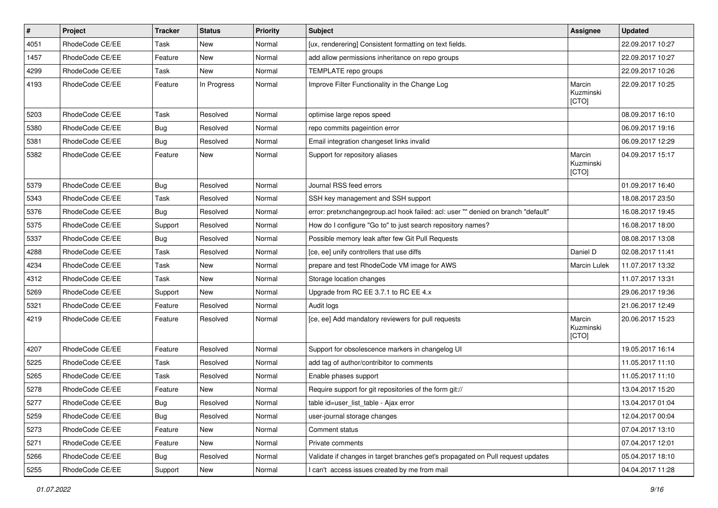| #    | Project         | <b>Tracker</b> | <b>Status</b> | <b>Priority</b> | <b>Subject</b>                                                                    | Assignee                     | <b>Updated</b>   |
|------|-----------------|----------------|---------------|-----------------|-----------------------------------------------------------------------------------|------------------------------|------------------|
| 4051 | RhodeCode CE/EE | Task           | New           | Normal          | [ux, renderering] Consistent formatting on text fields.                           |                              | 22.09.2017 10:27 |
| 1457 | RhodeCode CE/EE | Feature        | <b>New</b>    | Normal          | add allow permissions inheritance on repo groups                                  |                              | 22.09.2017 10:27 |
| 4299 | RhodeCode CE/EE | Task           | New           | Normal          | TEMPLATE repo groups                                                              |                              | 22.09.2017 10:26 |
| 4193 | RhodeCode CE/EE | Feature        | In Progress   | Normal          | Improve Filter Functionality in the Change Log                                    | Marcin<br>Kuzminski<br>[CTO] | 22.09.2017 10:25 |
| 5203 | RhodeCode CE/EE | Task           | Resolved      | Normal          | optimise large repos speed                                                        |                              | 08.09.2017 16:10 |
| 5380 | RhodeCode CE/EE | Bug            | Resolved      | Normal          | repo commits pageintion error                                                     |                              | 06.09.2017 19:16 |
| 5381 | RhodeCode CE/EE | Bug            | Resolved      | Normal          | Email integration changeset links invalid                                         |                              | 06.09.2017 12:29 |
| 5382 | RhodeCode CE/EE | Feature        | <b>New</b>    | Normal          | Support for repository aliases                                                    | Marcin<br>Kuzminski<br>[CTO] | 04.09.2017 15:17 |
| 5379 | RhodeCode CE/EE | Bug            | Resolved      | Normal          | Journal RSS feed errors                                                           |                              | 01.09.2017 16:40 |
| 5343 | RhodeCode CE/EE | Task           | Resolved      | Normal          | SSH key management and SSH support                                                |                              | 18.08.2017 23:50 |
| 5376 | RhodeCode CE/EE | Bug            | Resolved      | Normal          | error: pretxnchangegroup.acl hook failed: acl: user "" denied on branch "default" |                              | 16.08.2017 19:45 |
| 5375 | RhodeCode CE/EE | Support        | Resolved      | Normal          | How do I configure "Go to" to just search repository names?                       |                              | 16.08.2017 18:00 |
| 5337 | RhodeCode CE/EE | Bug            | Resolved      | Normal          | Possible memory leak after few Git Pull Requests                                  |                              | 08.08.2017 13:08 |
| 4288 | RhodeCode CE/EE | Task           | Resolved      | Normal          | [ce, ee] unify controllers that use diffs                                         | Daniel D                     | 02.08.2017 11:41 |
| 4234 | RhodeCode CE/EE | Task           | New           | Normal          | prepare and test RhodeCode VM image for AWS                                       | Marcin Lulek                 | 11.07.2017 13:32 |
| 4312 | RhodeCode CE/EE | Task           | New           | Normal          | Storage location changes                                                          |                              | 11.07.2017 13:31 |
| 5269 | RhodeCode CE/EE | Support        | New           | Normal          | Upgrade from RC EE 3.7.1 to RC EE 4.x                                             |                              | 29.06.2017 19:36 |
| 5321 | RhodeCode CE/EE | Feature        | Resolved      | Normal          | Audit logs                                                                        |                              | 21.06.2017 12:49 |
| 4219 | RhodeCode CE/EE | Feature        | Resolved      | Normal          | [ce, ee] Add mandatory reviewers for pull requests                                | Marcin<br>Kuzminski<br>[CTO] | 20.06.2017 15:23 |
| 4207 | RhodeCode CE/EE | Feature        | Resolved      | Normal          | Support for obsolescence markers in changelog UI                                  |                              | 19.05.2017 16:14 |
| 5225 | RhodeCode CE/EE | Task           | Resolved      | Normal          | add tag of author/contribitor to comments                                         |                              | 11.05.2017 11:10 |
| 5265 | RhodeCode CE/EE | Task           | Resolved      | Normal          | Enable phases support                                                             |                              | 11.05.2017 11:10 |
| 5278 | RhodeCode CE/EE | Feature        | <b>New</b>    | Normal          | Require support for git repositories of the form git://                           |                              | 13.04.2017 15:20 |
| 5277 | RhodeCode CE/EE | Bug            | Resolved      | Normal          | table id=user list table - Ajax error                                             |                              | 13.04.2017 01:04 |
| 5259 | RhodeCode CE/EE | Bug            | Resolved      | Normal          | user-journal storage changes                                                      |                              | 12.04.2017 00:04 |
| 5273 | RhodeCode CE/EE | Feature        | New           | Normal          | Comment status                                                                    |                              | 07.04.2017 13:10 |
| 5271 | RhodeCode CE/EE | Feature        | New           | Normal          | Private comments                                                                  |                              | 07.04.2017 12:01 |
| 5266 | RhodeCode CE/EE | <b>Bug</b>     | Resolved      | Normal          | Validate if changes in target branches get's propagated on Pull request updates   |                              | 05.04.2017 18:10 |
| 5255 | RhodeCode CE/EE | Support        | New           | Normal          | I can't access issues created by me from mail                                     |                              | 04.04.2017 11:28 |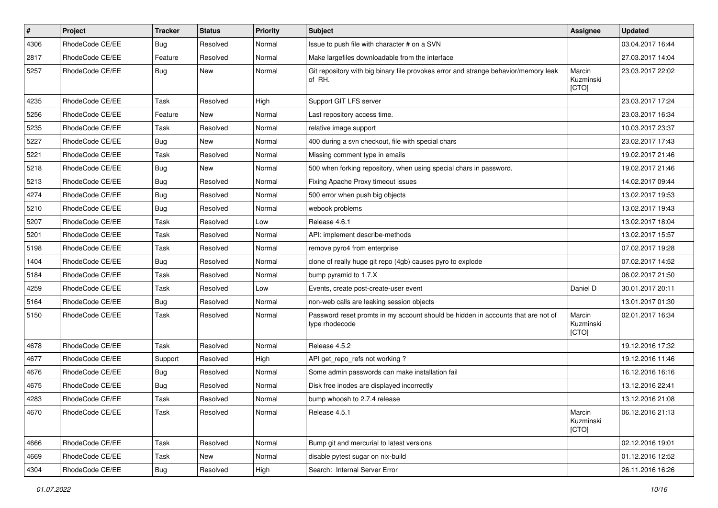| #    | Project         | <b>Tracker</b> | <b>Status</b> | <b>Priority</b> | <b>Subject</b>                                                                                     | Assignee                     | <b>Updated</b>   |
|------|-----------------|----------------|---------------|-----------------|----------------------------------------------------------------------------------------------------|------------------------------|------------------|
| 4306 | RhodeCode CE/EE | Bug            | Resolved      | Normal          | Issue to push file with character # on a SVN                                                       |                              | 03.04.2017 16:44 |
| 2817 | RhodeCode CE/EE | Feature        | Resolved      | Normal          | Make largefiles downloadable from the interface                                                    |                              | 27.03.2017 14:04 |
| 5257 | RhodeCode CE/EE | Bug            | New           | Normal          | Git repository with big binary file provokes error and strange behavior/memory leak<br>of RH.      | Marcin<br>Kuzminski<br>[CTO] | 23.03.2017 22:02 |
| 4235 | RhodeCode CE/EE | Task           | Resolved      | High            | Support GIT LFS server                                                                             |                              | 23.03.2017 17:24 |
| 5256 | RhodeCode CE/EE | Feature        | New           | Normal          | Last repository access time.                                                                       |                              | 23.03.2017 16:34 |
| 5235 | RhodeCode CE/EE | Task           | Resolved      | Normal          | relative image support                                                                             |                              | 10.03.2017 23:37 |
| 5227 | RhodeCode CE/EE | Bug            | <b>New</b>    | Normal          | 400 during a svn checkout, file with special chars                                                 |                              | 23.02.2017 17:43 |
| 5221 | RhodeCode CE/EE | Task           | Resolved      | Normal          | Missing comment type in emails                                                                     |                              | 19.02.2017 21:46 |
| 5218 | RhodeCode CE/EE | Bug            | <b>New</b>    | Normal          | 500 when forking repository, when using special chars in password.                                 |                              | 19.02.2017 21:46 |
| 5213 | RhodeCode CE/EE | Bug            | Resolved      | Normal          | Fixing Apache Proxy timeout issues                                                                 |                              | 14.02.2017 09:44 |
| 4274 | RhodeCode CE/EE | Bug            | Resolved      | Normal          | 500 error when push big objects                                                                    |                              | 13.02.2017 19:53 |
| 5210 | RhodeCode CE/EE | Bug            | Resolved      | Normal          | webook problems                                                                                    |                              | 13.02.2017 19:43 |
| 5207 | RhodeCode CE/EE | Task           | Resolved      | Low             | Release 4.6.1                                                                                      |                              | 13.02.2017 18:04 |
| 5201 | RhodeCode CE/EE | Task           | Resolved      | Normal          | API: implement describe-methods                                                                    |                              | 13.02.2017 15:57 |
| 5198 | RhodeCode CE/EE | Task           | Resolved      | Normal          | remove pyro4 from enterprise                                                                       |                              | 07.02.2017 19:28 |
| 1404 | RhodeCode CE/EE | Bug            | Resolved      | Normal          | clone of really huge git repo (4gb) causes pyro to explode                                         |                              | 07.02.2017 14:52 |
| 5184 | RhodeCode CE/EE | Task           | Resolved      | Normal          | bump pyramid to 1.7.X                                                                              |                              | 06.02.2017 21:50 |
| 4259 | RhodeCode CE/EE | Task           | Resolved      | Low             | Events, create post-create-user event                                                              | Daniel D                     | 30.01.2017 20:11 |
| 5164 | RhodeCode CE/EE | Bug            | Resolved      | Normal          | non-web calls are leaking session objects                                                          |                              | 13.01.2017 01:30 |
| 5150 | RhodeCode CE/EE | Task           | Resolved      | Normal          | Password reset promts in my account should be hidden in accounts that are not of<br>type rhodecode | Marcin<br>Kuzminski<br>[CTO] | 02.01.2017 16:34 |
| 4678 | RhodeCode CE/EE | Task           | Resolved      | Normal          | Release 4.5.2                                                                                      |                              | 19.12.2016 17:32 |
| 4677 | RhodeCode CE/EE | Support        | Resolved      | High            | API get_repo_refs not working?                                                                     |                              | 19.12.2016 11:46 |
| 4676 | RhodeCode CE/EE | Bug            | Resolved      | Normal          | Some admin passwords can make installation fail                                                    |                              | 16.12.2016 16:16 |
| 4675 | RhodeCode CE/EE | Bug            | Resolved      | Normal          | Disk free inodes are displayed incorrectly                                                         |                              | 13.12.2016 22:41 |
| 4283 | RhodeCode CE/EE | Task           | Resolved      | Normal          | bump whoosh to 2.7.4 release                                                                       |                              | 13.12.2016 21:08 |
| 4670 | RhodeCode CE/EE | Task           | Resolved      | Normal          | Release 4.5.1                                                                                      | Marcin<br>Kuzminski<br>[CTO] | 06.12.2016 21:13 |
| 4666 | RhodeCode CE/EE | Task           | Resolved      | Normal          | Bump git and mercurial to latest versions                                                          |                              | 02.12.2016 19:01 |
| 4669 | RhodeCode CE/EE | Task           | New           | Normal          | disable pytest sugar on nix-build                                                                  |                              | 01.12.2016 12:52 |
| 4304 | RhodeCode CE/EE | <b>Bug</b>     | Resolved      | High            | Search: Internal Server Error                                                                      |                              | 26.11.2016 16:26 |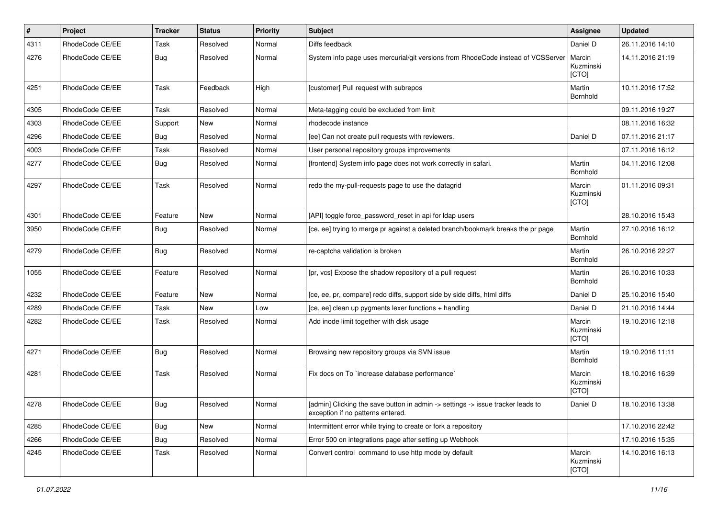| $\pmb{\#}$ | Project         | <b>Tracker</b> | <b>Status</b> | <b>Priority</b> | <b>Subject</b>                                                                                                       | <b>Assignee</b>              | <b>Updated</b>   |
|------------|-----------------|----------------|---------------|-----------------|----------------------------------------------------------------------------------------------------------------------|------------------------------|------------------|
| 4311       | RhodeCode CE/EE | Task           | Resolved      | Normal          | Diffs feedback                                                                                                       | Daniel D                     | 26.11.2016 14:10 |
| 4276       | RhodeCode CE/EE | Bug            | Resolved      | Normal          | System info page uses mercurial/git versions from RhodeCode instead of VCSServer                                     | Marcin<br>Kuzminski<br>[CTO] | 14.11.2016 21:19 |
| 4251       | RhodeCode CE/EE | Task           | Feedback      | High            | [customer] Pull request with subrepos                                                                                | Martin<br>Bornhold           | 10.11.2016 17:52 |
| 4305       | RhodeCode CE/EE | Task           | Resolved      | Normal          | Meta-tagging could be excluded from limit                                                                            |                              | 09.11.2016 19:27 |
| 4303       | RhodeCode CE/EE | Support        | <b>New</b>    | Normal          | rhodecode instance                                                                                                   |                              | 08.11.2016 16:32 |
| 4296       | RhodeCode CE/EE | Bug            | Resolved      | Normal          | [ee] Can not create pull requests with reviewers.                                                                    | Daniel D                     | 07.11.2016 21:17 |
| 4003       | RhodeCode CE/EE | Task           | Resolved      | Normal          | User personal repository groups improvements                                                                         |                              | 07.11.2016 16:12 |
| 4277       | RhodeCode CE/EE | Bug            | Resolved      | Normal          | [frontend] System info page does not work correctly in safari.                                                       | Martin<br>Bornhold           | 04.11.2016 12:08 |
| 4297       | RhodeCode CE/EE | Task           | Resolved      | Normal          | redo the my-pull-requests page to use the datagrid                                                                   | Marcin<br>Kuzminski<br>[CTO] | 01.11.2016 09:31 |
| 4301       | RhodeCode CE/EE | Feature        | <b>New</b>    | Normal          | [API] toggle force_password_reset in api for Idap users                                                              |                              | 28.10.2016 15:43 |
| 3950       | RhodeCode CE/EE | <b>Bug</b>     | Resolved      | Normal          | [ce, ee] trying to merge pr against a deleted branch/bookmark breaks the pr page                                     | Martin<br>Bornhold           | 27.10.2016 16:12 |
| 4279       | RhodeCode CE/EE | Bug            | Resolved      | Normal          | re-captcha validation is broken                                                                                      | Martin<br>Bornhold           | 26.10.2016 22:27 |
| 1055       | RhodeCode CE/EE | Feature        | Resolved      | Normal          | [pr, vcs] Expose the shadow repository of a pull request                                                             | Martin<br>Bornhold           | 26.10.2016 10:33 |
| 4232       | RhodeCode CE/EE | Feature        | <b>New</b>    | Normal          | [ce, ee, pr, compare] redo diffs, support side by side diffs, html diffs                                             | Daniel D                     | 25.10.2016 15:40 |
| 4289       | RhodeCode CE/EE | Task           | <b>New</b>    | Low             | [ce, ee] clean up pygments lexer functions + handling                                                                | Daniel D                     | 21.10.2016 14:44 |
| 4282       | RhodeCode CE/EE | Task           | Resolved      | Normal          | Add inode limit together with disk usage                                                                             | Marcin<br>Kuzminski<br>[CTO] | 19.10.2016 12:18 |
| 4271       | RhodeCode CE/EE | Bug            | Resolved      | Normal          | Browsing new repository groups via SVN issue                                                                         | Martin<br>Bornhold           | 19.10.2016 11:11 |
| 4281       | RhodeCode CE/EE | Task           | Resolved      | Normal          | Fix docs on To `increase database performance`                                                                       | Marcin<br>Kuzminski<br>[CTO] | 18.10.2016 16:39 |
| 4278       | RhodeCode CE/EE | Bug            | Resolved      | Normal          | [admin] Clicking the save button in admin -> settings -> issue tracker leads to<br>exception if no patterns entered. | Daniel D                     | 18.10.2016 13:38 |
| 4285       | RhodeCode CE/EE | Bug            | New           | Normal          | Intermittent error while trying to create or fork a repository                                                       |                              | 17.10.2016 22:42 |
| 4266       | RhodeCode CE/EE | Bug            | Resolved      | Normal          | Error 500 on integrations page after setting up Webhook                                                              |                              | 17.10.2016 15:35 |
| 4245       | RhodeCode CE/EE | Task           | Resolved      | Normal          | Convert control command to use http mode by default                                                                  | Marcin<br>Kuzminski<br>[CTO] | 14.10.2016 16:13 |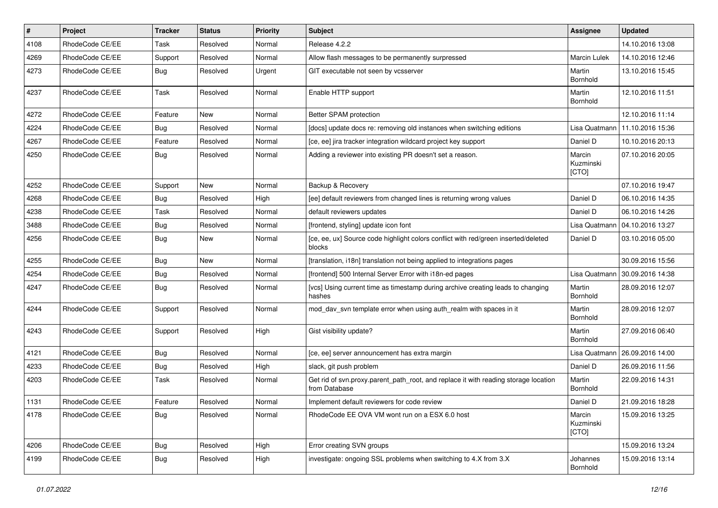| $\vert$ # | Project         | Tracker    | <b>Status</b> | <b>Priority</b> | <b>Subject</b>                                                                                       | <b>Assignee</b>              | <b>Updated</b>   |
|-----------|-----------------|------------|---------------|-----------------|------------------------------------------------------------------------------------------------------|------------------------------|------------------|
| 4108      | RhodeCode CE/EE | Task       | Resolved      | Normal          | Release 4.2.2                                                                                        |                              | 14.10.2016 13:08 |
| 4269      | RhodeCode CE/EE | Support    | Resolved      | Normal          | Allow flash messages to be permanently surpressed                                                    | <b>Marcin Lulek</b>          | 14.10.2016 12:46 |
| 4273      | RhodeCode CE/EE | Bug        | Resolved      | Urgent          | GIT executable not seen by vcsserver                                                                 | Martin<br>Bornhold           | 13.10.2016 15:45 |
| 4237      | RhodeCode CE/EE | Task       | Resolved      | Normal          | Enable HTTP support                                                                                  | Martin<br>Bornhold           | 12.10.2016 11:51 |
| 4272      | RhodeCode CE/EE | Feature    | New           | Normal          | Better SPAM protection                                                                               |                              | 12.10.2016 11:14 |
| 4224      | RhodeCode CE/EE | <b>Bug</b> | Resolved      | Normal          | [docs] update docs re: removing old instances when switching editions                                | Lisa Quatmann                | 11.10.2016 15:36 |
| 4267      | RhodeCode CE/EE | Feature    | Resolved      | Normal          | [ce, ee] jira tracker integration wildcard project key support                                       | Daniel D                     | 10.10.2016 20:13 |
| 4250      | RhodeCode CE/EE | Bug        | Resolved      | Normal          | Adding a reviewer into existing PR doesn't set a reason.                                             | Marcin<br>Kuzminski<br>[CTO] | 07.10.2016 20:05 |
| 4252      | RhodeCode CE/EE | Support    | New           | Normal          | Backup & Recovery                                                                                    |                              | 07.10.2016 19:47 |
| 4268      | RhodeCode CE/EE | <b>Bug</b> | Resolved      | High            | [ee] default reviewers from changed lines is returning wrong values                                  | Daniel D                     | 06.10.2016 14:35 |
| 4238      | RhodeCode CE/EE | Task       | Resolved      | Normal          | default reviewers updates                                                                            | Daniel D                     | 06.10.2016 14:26 |
| 3488      | RhodeCode CE/EE | <b>Bug</b> | Resolved      | Normal          | [frontend, styling] update icon font                                                                 | Lisa Quatmann                | 04.10.2016 13:27 |
| 4256      | RhodeCode CE/EE | <b>Bug</b> | New           | Normal          | [ce, ee, ux] Source code highlight colors conflict with red/green inserted/deleted<br>blocks         | Daniel D                     | 03.10.2016 05:00 |
| 4255      | RhodeCode CE/EE | <b>Bug</b> | New           | Normal          | [translation, i18n] translation not being applied to integrations pages                              |                              | 30.09.2016 15:56 |
| 4254      | RhodeCode CE/EE | <b>Bug</b> | Resolved      | Normal          | [frontend] 500 Internal Server Error with i18n-ed pages                                              | Lisa Quatmann                | 30.09.2016 14:38 |
| 4247      | RhodeCode CE/EE | <b>Bug</b> | Resolved      | Normal          | [vcs] Using current time as timestamp during archive creating leads to changing<br>hashes            | Martin<br>Bornhold           | 28.09.2016 12:07 |
| 4244      | RhodeCode CE/EE | Support    | Resolved      | Normal          | mod day syn template error when using auth realm with spaces in it                                   | Martin<br>Bornhold           | 28.09.2016 12:07 |
| 4243      | RhodeCode CE/EE | Support    | Resolved      | High            | Gist visibility update?                                                                              | Martin<br>Bornhold           | 27.09.2016 06:40 |
| 4121      | RhodeCode CE/EE | <b>Bug</b> | Resolved      | Normal          | [ce, ee] server announcement has extra margin                                                        | Lisa Quatmann                | 26.09.2016 14:00 |
| 4233      | RhodeCode CE/EE | <b>Bug</b> | Resolved      | High            | slack, git push problem                                                                              | Daniel D                     | 26.09.2016 11:56 |
| 4203      | RhodeCode CE/EE | Task       | Resolved      | Normal          | Get rid of svn.proxy.parent path root, and replace it with reading storage location<br>from Database | Martin<br>Bornhold           | 22.09.2016 14:31 |
| 1131      | RhodeCode CE/EE | Feature    | Resolved      | Normal          | Implement default reviewers for code review                                                          | Daniel D                     | 21.09.2016 18:28 |
| 4178      | RhodeCode CE/EE | <b>Bug</b> | Resolved      | Normal          | RhodeCode EE OVA VM wont run on a ESX 6.0 host                                                       | Marcin<br>Kuzminski<br>[CTO] | 15.09.2016 13:25 |
| 4206      | RhodeCode CE/EE | <b>Bug</b> | Resolved      | High            | Error creating SVN groups                                                                            |                              | 15.09.2016 13:24 |
| 4199      | RhodeCode CE/EE | <b>Bug</b> | Resolved      | High            | investigate: ongoing SSL problems when switching to 4.X from 3.X                                     | Johannes<br>Bornhold         | 15.09.2016 13:14 |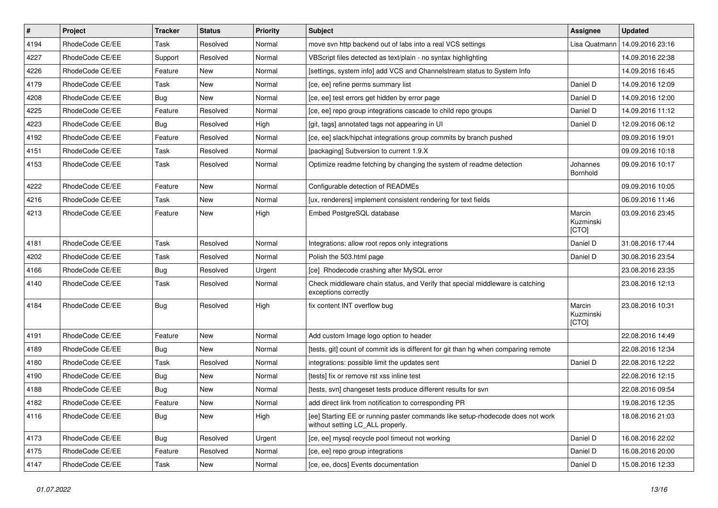| $\vert$ # | Project         | Tracker    | <b>Status</b> | <b>Priority</b> | <b>Subject</b>                                                                                                     | Assignee                     | <b>Updated</b>   |
|-----------|-----------------|------------|---------------|-----------------|--------------------------------------------------------------------------------------------------------------------|------------------------------|------------------|
| 4194      | RhodeCode CE/EE | Task       | Resolved      | Normal          | move svn http backend out of labs into a real VCS settings                                                         | Lisa Quatmann                | 14.09.2016 23:16 |
| 4227      | RhodeCode CE/EE | Support    | Resolved      | Normal          | VBScript files detected as text/plain - no syntax highlighting                                                     |                              | 14.09.2016 22:38 |
| 4226      | RhodeCode CE/EE | Feature    | New           | Normal          | [settings, system info] add VCS and Channelstream status to System Info                                            |                              | 14.09.2016 16:45 |
| 4179      | RhodeCode CE/EE | Task       | New           | Normal          | [ce, ee] refine perms summary list                                                                                 | Daniel D                     | 14.09.2016 12:09 |
| 4208      | RhodeCode CE/EE | <b>Bug</b> | New           | Normal          | [ce, ee] test errors get hidden by error page                                                                      | Daniel D                     | 14.09.2016 12:00 |
| 4225      | RhodeCode CE/EE | Feature    | Resolved      | Normal          | [ce, ee] repo group integrations cascade to child repo groups                                                      | Daniel D                     | 14.09.2016 11:12 |
| 4223      | RhodeCode CE/EE | Bug        | Resolved      | High            | [git, tags] annotated tags not appearing in UI                                                                     | Daniel D                     | 12.09.2016 06:12 |
| 4192      | RhodeCode CE/EE | Feature    | Resolved      | Normal          | [ce, ee] slack/hipchat integrations group commits by branch pushed                                                 |                              | 09.09.2016 19:01 |
| 4151      | RhodeCode CE/EE | Task       | Resolved      | Normal          | [packaging] Subversion to current 1.9.X                                                                            |                              | 09.09.2016 10:18 |
| 4153      | RhodeCode CE/EE | Task       | Resolved      | Normal          | Optimize readme fetching by changing the system of readme detection                                                | Johannes<br>Bornhold         | 09.09.2016 10:17 |
| 4222      | RhodeCode CE/EE | Feature    | New           | Normal          | Configurable detection of READMEs                                                                                  |                              | 09.09.2016 10:05 |
| 4216      | RhodeCode CE/EE | Task       | New           | Normal          | [ux, renderers] implement consistent rendering for text fields                                                     |                              | 06.09.2016 11:46 |
| 4213      | RhodeCode CE/EE | Feature    | New           | High            | Embed PostgreSQL database                                                                                          | Marcin<br>Kuzminski<br>[CTO] | 03.09.2016 23:45 |
| 4181      | RhodeCode CE/EE | Task       | Resolved      | Normal          | Integrations: allow root repos only integrations                                                                   | Daniel D                     | 31.08.2016 17:44 |
| 4202      | RhodeCode CE/EE | Task       | Resolved      | Normal          | Polish the 503.html page                                                                                           | Daniel D                     | 30.08.2016 23:54 |
| 4166      | RhodeCode CE/EE | Bug        | Resolved      | Urgent          | [ce] Rhodecode crashing after MySQL error                                                                          |                              | 23.08.2016 23:35 |
| 4140      | RhodeCode CE/EE | Task       | Resolved      | Normal          | Check middleware chain status, and Verify that special middleware is catching<br>exceptions correctly              |                              | 23.08.2016 12:13 |
| 4184      | RhodeCode CE/EE | <b>Bug</b> | Resolved      | High            | fix content INT overflow bug                                                                                       | Marcin<br>Kuzminski<br>[CTO] | 23.08.2016 10:31 |
| 4191      | RhodeCode CE/EE | Feature    | New           | Normal          | Add custom Image logo option to header                                                                             |                              | 22.08.2016 14:49 |
| 4189      | RhodeCode CE/EE | Bug        | <b>New</b>    | Normal          | [tests, git] count of commit ids is different for git than hg when comparing remote                                |                              | 22.08.2016 12:34 |
| 4180      | RhodeCode CE/EE | Task       | Resolved      | Normal          | integrations: possible limit the updates sent                                                                      | Daniel D                     | 22.08.2016 12:22 |
| 4190      | RhodeCode CE/EE | <b>Bug</b> | New           | Normal          | [tests] fix or remove rst xss inline test                                                                          |                              | 22.08.2016 12:15 |
| 4188      | RhodeCode CE/EE | <b>Bug</b> | New           | Normal          | [tests, svn] changeset tests produce different results for svn                                                     |                              | 22.08.2016 09:54 |
| 4182      | RhodeCode CE/EE | Feature    | New           | Normal          | add direct link from notification to corresponding PR                                                              |                              | 19.08.2016 12:35 |
| 4116      | RhodeCode CE/EE | Bug        | New           | High            | [ee] Starting EE or running paster commands like setup-rhodecode does not work<br>without setting LC_ALL properly. |                              | 18.08.2016 21:03 |
| 4173      | RhodeCode CE/EE | Bug        | Resolved      | Urgent          | [ce, ee] mysql recycle pool timeout not working                                                                    | Daniel D                     | 16.08.2016 22:02 |
| 4175      | RhodeCode CE/EE | Feature    | Resolved      | Normal          | [ce, ee] repo group integrations                                                                                   | Daniel D                     | 16.08.2016 20:00 |
| 4147      | RhodeCode CE/EE | Task       | New           | Normal          | [ce, ee, docs] Events documentation                                                                                | Daniel D                     | 15.08.2016 12:33 |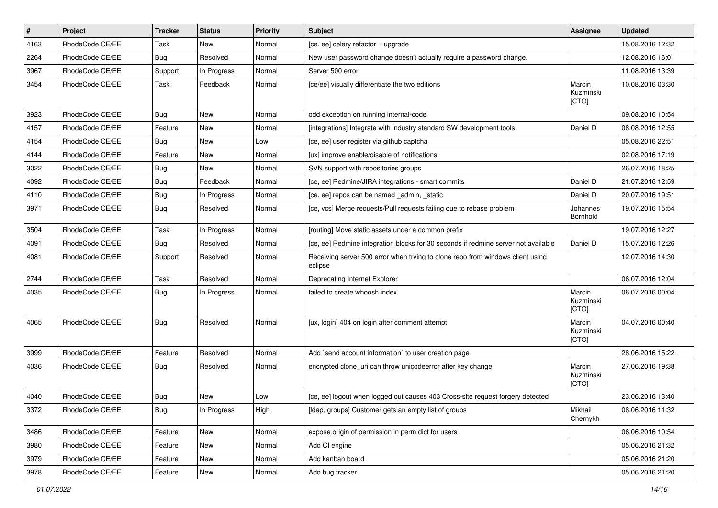| $\vert$ # | Project         | <b>Tracker</b> | <b>Status</b> | <b>Priority</b> | <b>Subject</b>                                                                            | Assignee                     | <b>Updated</b>   |
|-----------|-----------------|----------------|---------------|-----------------|-------------------------------------------------------------------------------------------|------------------------------|------------------|
| 4163      | RhodeCode CE/EE | Task           | New           | Normal          | [ce, ee] celery refactor + upgrade                                                        |                              | 15.08.2016 12:32 |
| 2264      | RhodeCode CE/EE | Bug            | Resolved      | Normal          | New user password change doesn't actually require a password change.                      |                              | 12.08.2016 16:01 |
| 3967      | RhodeCode CE/EE | Support        | In Progress   | Normal          | Server 500 error                                                                          |                              | 11.08.2016 13:39 |
| 3454      | RhodeCode CE/EE | Task           | Feedback      | Normal          | [ce/ee] visually differentiate the two editions                                           | Marcin<br>Kuzminski<br>[CTO] | 10.08.2016 03:30 |
| 3923      | RhodeCode CE/EE | Bug            | New           | Normal          | odd exception on running internal-code                                                    |                              | 09.08.2016 10:54 |
| 4157      | RhodeCode CE/EE | Feature        | New           | Normal          | [integrations] Integrate with industry standard SW development tools                      | Daniel D                     | 08.08.2016 12:55 |
| 4154      | RhodeCode CE/EE | Bug            | New           | Low             | [ce, ee] user register via github captcha                                                 |                              | 05.08.2016 22:51 |
| 4144      | RhodeCode CE/EE | Feature        | New           | Normal          | [ux] improve enable/disable of notifications                                              |                              | 02.08.2016 17:19 |
| 3022      | RhodeCode CE/EE | Bug            | New           | Normal          | SVN support with repositories groups                                                      |                              | 26.07.2016 18:25 |
| 4092      | RhodeCode CE/EE | Bug            | Feedback      | Normal          | [ce, ee] Redmine/JIRA integrations - smart commits                                        | Daniel D                     | 21.07.2016 12:59 |
| 4110      | RhodeCode CE/EE | Bug            | In Progress   | Normal          | [ce, ee] repos can be named _admin, _static                                               | Daniel D                     | 20.07.2016 19:51 |
| 3971      | RhodeCode CE/EE | Bug            | Resolved      | Normal          | [ce, vcs] Merge requests/Pull requests failing due to rebase problem                      | Johannes<br>Bornhold         | 19.07.2016 15:54 |
| 3504      | RhodeCode CE/EE | Task           | In Progress   | Normal          | [routing] Move static assets under a common prefix                                        |                              | 19.07.2016 12:27 |
| 4091      | RhodeCode CE/EE | Bug            | Resolved      | Normal          | [ce, ee] Redmine integration blocks for 30 seconds if redmine server not available        | Daniel D                     | 15.07.2016 12:26 |
| 4081      | RhodeCode CE/EE | Support        | Resolved      | Normal          | Receiving server 500 error when trying to clone repo from windows client using<br>eclipse |                              | 12.07.2016 14:30 |
| 2744      | RhodeCode CE/EE | Task           | Resolved      | Normal          | Deprecating Internet Explorer                                                             |                              | 06.07.2016 12:04 |
| 4035      | RhodeCode CE/EE | Bug            | In Progress   | Normal          | failed to create whoosh index                                                             | Marcin<br>Kuzminski<br>[CTO] | 06.07.2016 00:04 |
| 4065      | RhodeCode CE/EE | <b>Bug</b>     | Resolved      | Normal          | [ux, login] 404 on login after comment attempt                                            | Marcin<br>Kuzminski<br>[CTO] | 04.07.2016 00:40 |
| 3999      | RhodeCode CE/EE | Feature        | Resolved      | Normal          | Add `send account information` to user creation page                                      |                              | 28.06.2016 15:22 |
| 4036      | RhodeCode CE/EE | Bug            | Resolved      | Normal          | encrypted clone uri can throw unicodeerror after key change                               | Marcin<br>Kuzminski<br>[CTO] | 27.06.2016 19:38 |
| 4040      | RhodeCode CE/EE | Bug            | New           | Low             | [ce, ee] logout when logged out causes 403 Cross-site request forgery detected            |                              | 23.06.2016 13:40 |
| 3372      | RhodeCode CE/EE | <b>Bug</b>     | In Progress   | High            | [Idap, groups] Customer gets an empty list of groups                                      | Mikhail<br>Chernykh          | 08.06.2016 11:32 |
| 3486      | RhodeCode CE/EE | Feature        | New           | Normal          | expose origin of permission in perm dict for users                                        |                              | 06.06.2016 10:54 |
| 3980      | RhodeCode CE/EE | Feature        | New           | Normal          | Add CI engine                                                                             |                              | 05.06.2016 21:32 |
| 3979      | RhodeCode CE/EE | Feature        | New           | Normal          | Add kanban board                                                                          |                              | 05.06.2016 21:20 |
| 3978      | RhodeCode CE/EE | Feature        | New           | Normal          | Add bug tracker                                                                           |                              | 05.06.2016 21:20 |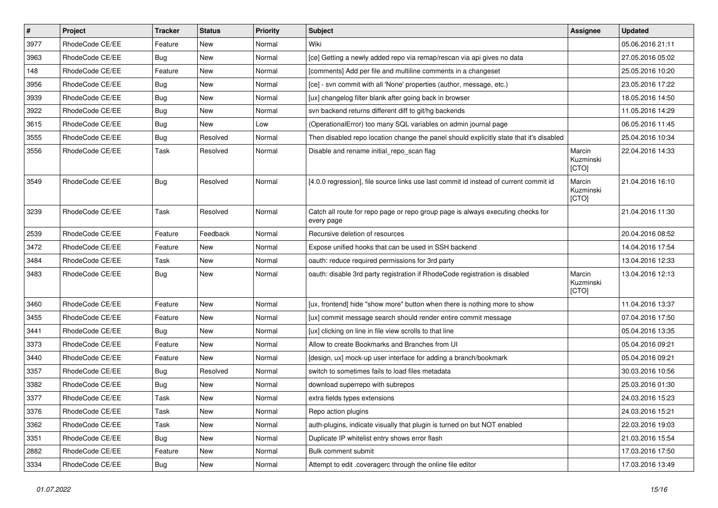| $\sharp$ | Project         | <b>Tracker</b> | <b>Status</b> | Priority | Subject                                                                                       | <b>Assignee</b>              | <b>Updated</b>   |
|----------|-----------------|----------------|---------------|----------|-----------------------------------------------------------------------------------------------|------------------------------|------------------|
| 3977     | RhodeCode CE/EE | Feature        | New           | Normal   | Wiki                                                                                          |                              | 05.06.2016 21:11 |
| 3963     | RhodeCode CE/EE | Bug            | <b>New</b>    | Normal   | [ce] Getting a newly added repo via remap/rescan via api gives no data                        |                              | 27.05.2016 05:02 |
| 148      | RhodeCode CE/EE | Feature        | New           | Normal   | [comments] Add per file and multiline comments in a changeset                                 |                              | 25.05.2016 10:20 |
| 3956     | RhodeCode CE/EE | Bug            | New           | Normal   | [ce] - svn commit with all 'None' properties (author, message, etc.)                          |                              | 23.05.2016 17:22 |
| 3939     | RhodeCode CE/EE | <b>Bug</b>     | <b>New</b>    | Normal   | [ux] changelog filter blank after going back in browser                                       |                              | 18.05.2016 14:50 |
| 3922     | RhodeCode CE/EE | Bug            | New           | Normal   | svn backend returns different diff to git/hg backends                                         |                              | 11.05.2016 14:29 |
| 3615     | RhodeCode CE/EE | Bug            | <b>New</b>    | Low      | (OperationalError) too many SQL variables on admin journal page                               |                              | 06.05.2016 11:45 |
| 3555     | RhodeCode CE/EE | <b>Bug</b>     | Resolved      | Normal   | Then disabled repo location change the panel should explicitly state that it's disabled       |                              | 25.04.2016 10:34 |
| 3556     | RhodeCode CE/EE | Task           | Resolved      | Normal   | Disable and rename initial_repo_scan flag                                                     | Marcin<br>Kuzminski<br>[CTO] | 22.04.2016 14:33 |
| 3549     | RhodeCode CE/EE | Bug            | Resolved      | Normal   | [4.0.0 regression], file source links use last commit id instead of current commit id         | Marcin<br>Kuzminski<br>[CTO] | 21.04.2016 16:10 |
| 3239     | RhodeCode CE/EE | Task           | Resolved      | Normal   | Catch all route for repo page or repo group page is always executing checks for<br>every page |                              | 21.04.2016 11:30 |
| 2539     | RhodeCode CE/EE | Feature        | Feedback      | Normal   | Recursive deletion of resources                                                               |                              | 20.04.2016 08:52 |
| 3472     | RhodeCode CE/EE | Feature        | <b>New</b>    | Normal   | Expose unified hooks that can be used in SSH backend                                          |                              | 14.04.2016 17:54 |
| 3484     | RhodeCode CE/EE | Task           | New           | Normal   | oauth: reduce required permissions for 3rd party                                              |                              | 13.04.2016 12:33 |
| 3483     | RhodeCode CE/EE | Bug            | <b>New</b>    | Normal   | oauth: disable 3rd party registration if RhodeCode registration is disabled                   | Marcin<br>Kuzminski<br>[CTO] | 13.04.2016 12:13 |
| 3460     | RhodeCode CE/EE | Feature        | New           | Normal   | [ux, frontend] hide "show more" button when there is nothing more to show                     |                              | 11.04.2016 13:37 |
| 3455     | RhodeCode CE/EE | Feature        | <b>New</b>    | Normal   | [ux] commit message search should render entire commit message                                |                              | 07.04.2016 17:50 |
| 3441     | RhodeCode CE/EE | Bug            | New           | Normal   | [ux] clicking on line in file view scrolls to that line                                       |                              | 05.04.2016 13:35 |
| 3373     | RhodeCode CE/EE | Feature        | <b>New</b>    | Normal   | Allow to create Bookmarks and Branches from UI                                                |                              | 05.04.2016 09:21 |
| 3440     | RhodeCode CE/EE | Feature        | <b>New</b>    | Normal   | [design, ux] mock-up user interface for adding a branch/bookmark                              |                              | 05.04.2016 09:21 |
| 3357     | RhodeCode CE/EE | Bug            | Resolved      | Normal   | switch to sometimes fails to load files metadata                                              |                              | 30.03.2016 10:56 |
| 3382     | RhodeCode CE/EE | <b>Bug</b>     | <b>New</b>    | Normal   | download superrepo with subrepos                                                              |                              | 25.03.2016 01:30 |
| 3377     | RhodeCode CE/EE | Task           | New           | Normal   | extra fields types extensions                                                                 |                              | 24.03.2016 15:23 |
| 3376     | RhodeCode CE/EE | Task           | New           | Normal   | Repo action plugins                                                                           |                              | 24.03.2016 15:21 |
| 3362     | RhodeCode CE/EE | Task           | New           | Normal   | auth-plugins, indicate visually that plugin is turned on but NOT enabled                      |                              | 22.03.2016 19:03 |
| 3351     | RhodeCode CE/EE | <b>Bug</b>     | New           | Normal   | Duplicate IP whitelist entry shows error flash                                                |                              | 21.03.2016 15:54 |
| 2882     | RhodeCode CE/EE | Feature        | New           | Normal   | Bulk comment submit                                                                           |                              | 17.03.2016 17:50 |
| 3334     | RhodeCode CE/EE | Bug            | New           | Normal   | Attempt to edit .coveragerc through the online file editor                                    |                              | 17.03.2016 13:49 |